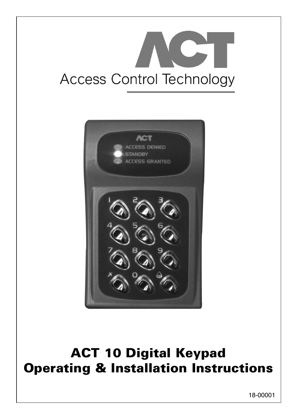



# **ACT 10 Digital Keypad Operating & Installation Instructions**

18-00001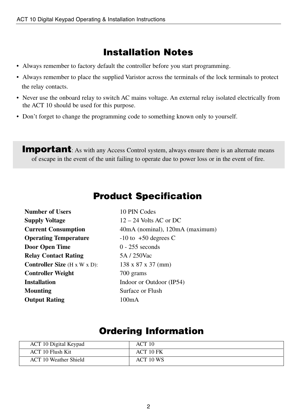## **Installation Notes**

- Always remember to factory default the controller before you start programming.
- Always remember to place the supplied Varistor across the terminals of the lock terminals to protect the relay contacts.
- Never use the onboard relay to switch AC mains voltage. An external relay isolated electrically from the ACT 10 should be used for this purpose.
- Don't forget to change the programming code to something known only to yourself.

**Important**: As with any Access Control system, always ensure there is an alternate means of escape in the event of the unit failing to operate due to power loss or in the event of fire.

### **Product Specification**

| <b>Number of Users</b>                           | 10 PIN Codes                    |
|--------------------------------------------------|---------------------------------|
| <b>Supply Voltage</b>                            | $12 - 24$ Volts AC or DC        |
| <b>Current Consumption</b>                       | 40mA (nominal), 120mA (maximum) |
| <b>Operating Temperature</b>                     | $-10$ to $+50$ degrees C        |
| Door Open Time                                   | $0 - 255$ seconds               |
| <b>Relay Contact Rating</b>                      | 5A / 250Vac                     |
| <b>Controller Size</b> $(H \times W \times D)$ : | $138 \times 87 \times 37$ (mm)  |
| <b>Controller Weight</b>                         | 700 grams                       |
| <b>Installation</b>                              | Indoor or Outdoor (IP54)        |
| Mounting                                         | Surface or Flush                |
| <b>Output Rating</b>                             | 100mA                           |

### **Ordering Information**

| ACT 10 Digital Keypad        | ACT 10    |
|------------------------------|-----------|
| <b>ACT 10 Flush Kit</b>      | ACT 10 FK |
| <b>ACT 10 Weather Shield</b> | ACT 10 WS |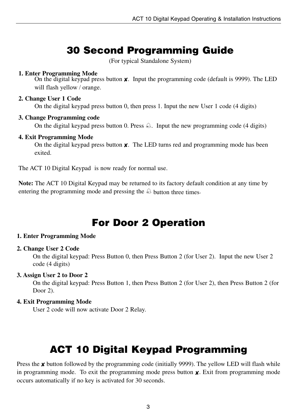# **30 Second Programming Guide**

(For typical Standalone System)

#### **1. Enter Programming Mode**

On the digital keypad press button **✘**. Input the programming code (default is 9999). The LED will flash yellow / orange.

#### **2. Change User 1 Code**

On the digital keypad press button 0, then press 1. Input the new User 1 code (4 digits)

#### **3. Change Programming code**

On the digital keypad press button 0. Press  $\triangle$ . Input the new programming code (4 digits)

#### **4. Exit Programming Mode**

On the digital keypad press button **x**. The LED turns red and programming mode has been exited.

The ACT 10 Digital Keypad is now ready for normal use.

**Note:** The ACT 10 Digital Keypad may be returned to its factory default condition at any time by entering the programming mode and pressing the  $\triangle$  button three times.

## **For Door 2 Operation**

#### **1. Enter Programming Mode**

#### **2. Change User 2 Code**

On the digital keypad: Press Button 0, then Press Button 2 (for User 2). Input the new User 2 code (4 digits)

#### **3. Assign User 2 to Door 2**

On the digital keypad: Press Button 1, then Press Button 2 (for User 2), then Press Button 2 (for Door 2).

#### **4. Exit Programming Mode**

User 2 code will now activate Door 2 Relay.

# **ACT 10 Digital Keypad Programming**

Press the *★* **button followed by the programming code (initially 9999). The yellow LED will flash while** in programming mode. To exit the programming mode press button **✘**. Exit from programming mode occurs automatically if no key is activated for 30 seconds.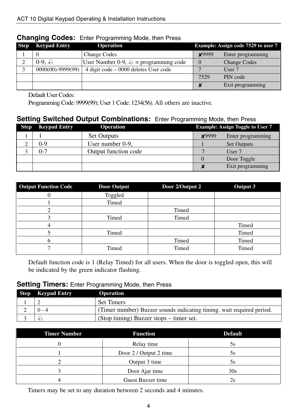| <b>Step</b> | <b>Keypad Entry</b>   | <b>Operation</b>                                |               | Example: Assign code 7529 to user 7 |
|-------------|-----------------------|-------------------------------------------------|---------------|-------------------------------------|
|             |                       | <b>Change Codes</b>                             | <b>x</b> 9999 | Enter programming                   |
|             | $0-9.$ $\ominus$      | User Number 0-9, $\triangle$ = programming code | $\Omega$      | <b>Change Codes</b>                 |
|             | $0000(00) - 9999(99)$ | $4$ digit code $-$ 0000 deletes User code       |               | User 7                              |
|             |                       |                                                 | 7529          | PIN code                            |
|             |                       |                                                 |               | Exit programming                    |

#### **Changing Codes:** Enter Programming Mode, then Press

Default User Codes:

Programming Code: 9999(99); User 1 Code: 1234(56). All others are inactive.

#### **Setting Switched Output Combinations:** Enter Programming Mode, then Press

| <b>Step</b> | <b>Keypad Entry</b> | <b>Operation</b>     |              | <b>Example: Assign Toggle to User 7</b> |
|-------------|---------------------|----------------------|--------------|-----------------------------------------|
|             |                     | <b>Set Outputs</b>   | <b>×9999</b> | Enter programming                       |
|             | )-9                 | User number 0-9,     |              | <b>Set Outputs</b>                      |
|             | ገ-7                 | Output function code |              | User 7                                  |
|             |                     |                      |              | Door Toggle                             |
|             |                     |                      |              | Exit programming                        |

| <b>Output Function Code</b> | <b>Door Output</b> | Door 2/Output 2 | Output 3 |
|-----------------------------|--------------------|-----------------|----------|
|                             | Toggled            |                 |          |
|                             | Timed              |                 |          |
|                             |                    | Timed           |          |
|                             | Timed              | Timed           |          |
|                             |                    |                 | Timed    |
|                             | Timed              |                 | Timed    |
|                             |                    | Timed           | Timed    |
|                             | Timed              | Timed           | Timed    |

Default function code is 1 (Relay Timed) for all users. When the door is toggled open, this will be indicated by the green indicator flashing.

### **Setting Timers:** Enter Programming Mode, then Press

| <b>Step</b> Keypad Entry | <b>Operation</b>                                                      |
|--------------------------|-----------------------------------------------------------------------|
|                          | <b>Set Timers</b>                                                     |
| $0 - 4$                  | (Timer number) Buzzer sounds indicating timing, wait required period. |
|                          | (Stop timing) Buzzer stops – timer set.                               |

| <b>Timer Number</b> | <b>Function</b>        | <b>Default</b> |
|---------------------|------------------------|----------------|
|                     | Relay time             | 5s             |
|                     | Door 2 / Output 2 time | ЭS             |
|                     | Output 3 time          | 5s             |
|                     | Door Ajar time         | 30s            |
|                     | Guest Buzzer time      |                |

Timers may be set to any duration between 2 seconds and 4 minutes.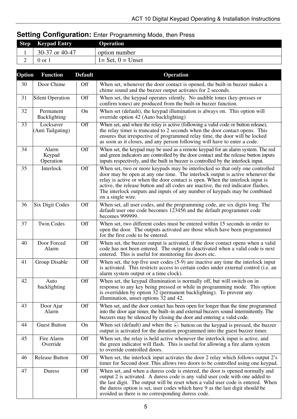### **Setting Configuration:** Enter Programming Mode, then Press

| <b>Step</b> | <b>Keypad Entry</b> | <b>Operation</b>     |
|-------------|---------------------|----------------------|
|             | 30-37 or 40-47      | option number        |
| ∸           | 0 or 1              | $1 = Set, 0 = Unset$ |

| Option          | <b>Function</b>                | <b>Default</b>   | Operation                                                                                                                                                                                                                                                                                                                                                                                                                             |
|-----------------|--------------------------------|------------------|---------------------------------------------------------------------------------------------------------------------------------------------------------------------------------------------------------------------------------------------------------------------------------------------------------------------------------------------------------------------------------------------------------------------------------------|
| 30              | Door Chime                     | Off              | When set, whenever the door contact is opened, the built-in buzzer makes a<br>chime sound and the buzzer output activates for 2 seconds.                                                                                                                                                                                                                                                                                              |
| 31              | <b>Silent Operation</b>        | Off              | When set, the keypad operates silently. No audible tones (key-presses or<br>confirm tones) are produced from the built-in buzzer function.                                                                                                                                                                                                                                                                                            |
| 32              | Permanent<br>Backlighting      | On               | When set (default), the keypad illumination is always on. This option will<br>override option 42 (Auto backlighting)                                                                                                                                                                                                                                                                                                                  |
| $\overline{33}$ | Locksaver<br>(Anti Tailgating) | $\overline{Off}$ | When set, and when the relay is active (following a valid code or button release),<br>the relay timer is truncated to 2 seconds when the door contact opens. This<br>ensures that irrespective of programmed relay time, the door will be locked<br>as soon as it closes, and any person following will have to enter a code.                                                                                                         |
| 34              | Alarm<br>Keypad<br>Operation   | Off              | When set, the keypad may be used as a remote keypad for an alarm system. The red<br>and green indicators are controlled by the door contact and the release button inputs<br>inputs respectively, and the built in buzzer is controlled by the interlock input.                                                                                                                                                                       |
| 35              | Interlock                      | Off              | When set, two or more keypads may be interlocked so that only one controlled<br>door may be open at any one time. The interlock output is active whenever the<br>relay is active or when the door contact is open. When the interlock input is<br>active, the release button and all codes are inactive, the red indicator flashes.<br>The interlock outputs and inputs of any number of keypads may be combined<br>on a single wire. |
| 36              | Six Digit Codes                | Off              | When set, all user codes, and the programming code, are six digits long. The<br>default user one code becomes 123456 and the default programmer code<br>becomes 999999.                                                                                                                                                                                                                                                               |
| 37              | <b>Twin Codes</b>              | Off              | When set, two different codes must be entered within 15 seconds in order to<br>open the door. The outputs activated are those which have been programmed<br>for the first code to be entered.                                                                                                                                                                                                                                         |
| 40              | Door Forced<br>Alarm           | Off              | When set, the buzzer output is activated, if the door contact opens when a valid<br>code has not been entered. The output is deactivated when a valid code is next<br>entered. This is useful for monitoring fire doors etc.                                                                                                                                                                                                          |
| 41              | Group Disable                  | Off              | When set, the top five user codes $(5-9)$ are inactive any time the interlock input<br>is activated. This restricts access to certain codes under external control (i.e. an<br>alarm system output or a time clock).                                                                                                                                                                                                                  |
| 42              | Auto<br>backlighting           | Off              | When set, the keypad illumination is normally off, but will switch on in<br>response to any key being pressed or while in programming mode. This option<br>is overridden by option 32 (permanent backlighting). To prevent any<br>illumination, unset options 32 and 42.                                                                                                                                                              |
| 43              | Door Ajar<br>Alarm             | Off              | When set, and the door contact has been open for longer than the time programmed<br>into the door ajar timer, the built-in and external buzzers sound intermittently. The<br>buzzers may be silenced by closing the door and entering a valid code.                                                                                                                                                                                   |
| 44              | <b>Guest Button</b>            | On               | When set (default) and when the $\bigoplus$ button on the keypad is pressed, the buzzer<br>output is activated for the duration programmed into the guest buzzer timer.                                                                                                                                                                                                                                                               |
| 45              | Fire Alarm<br>Override         | Off              | When set, the relay is held active whenever the interlock input is active, and<br>the green indicator will flash. This is useful for allowing a fire alarm system<br>to override controlled doors.                                                                                                                                                                                                                                    |
| 46              | Release Button                 | Off              | When set, the interlock input activates the door 2 relay which follows output 2's<br>timer for Second door. This allows two doors to be controlled using one keypad.                                                                                                                                                                                                                                                                  |
| 47              | Duress                         | Off              | When set, and when a duress code is entered, the door is opened normally and<br>output 2 is activated. A duress code is any valid user code with one added to<br>the last digit. The output will be reset when a valid user code is entered. When<br>the duress option is set, user codes which have 9 as the last digit should be<br>avoided as there is no corresponding duress code.                                               |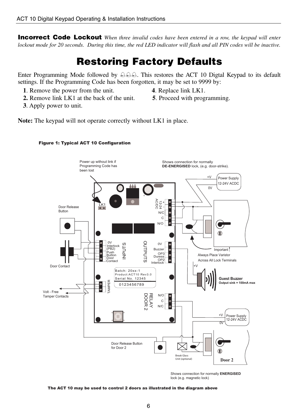**Incorrect Code Lockout** *When three invalid codes have been entered in a row, the keypad will enter lockout mode for 20 seconds. During this time, the red LED indicator will flash and all PIN codes will be inactive.*

# **Restoring Factory Defaults**

Enter Programming Mode followed by  $\triangle \triangle \triangle$ . This restores the ACT 10 Digtal Keypad to its default settings. If the Programming Code has been forgotten, it may be set to 9999 by:

- **1**. Remove the power from the unit. **4**. Replace link LK1.
- 
- **2.** Remove link LK1 at the back of the unit. **5**. Proceed with programming.
- **3**. Apply power to unit.

**Note:** The keypad will not operate correctly without LK1 in place.



Figure 1: Typical ACT 10 Configuration

Shows connection for normally Shows connection for normally **ENERGISED** Shows connection for normality **ENERGISE**<br>lock (e.g. magnetic lock)

#### The ACT 10 may be used to control 2 doors as illustrated in the diagram above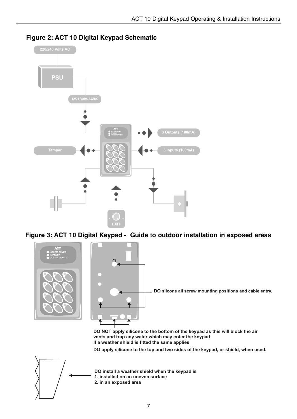

### **Figure 1: ACT10 Digital Keypad Schematic Figure 2: ACT 10 Digital Keypad Schematic**





**DO NOT apply silicone to the bottom of the keypad as this will block the air vents and trap any water which may enter the keypad If a weather shield is fitted the same applies**

**DO apply silicone to the top and two sides of the keypad, or shield, when used.**



**DO install a weather shield when the keypad is 1. installed on an uneven surface 2. in an exposed area**